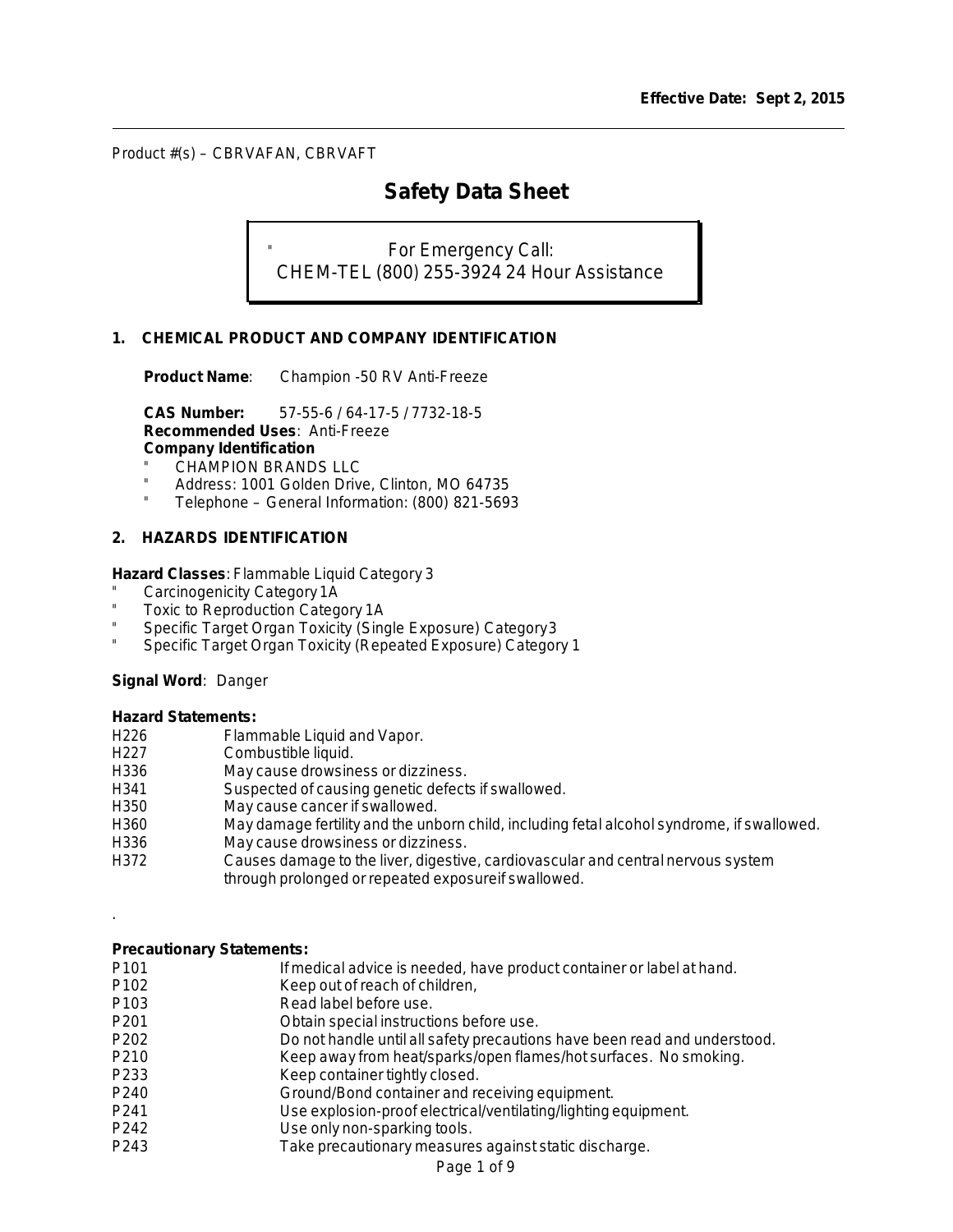l

# **Safety Data Sheet**

For Emergency Call: CHEM-TEL (800) 255-3924 24 Hour Assistance

# **1. CHEMICAL PRODUCT AND COMPANY IDENTIFICATION**

**Product Name**: Champion -50 RV Anti-Freeze

**CAS Number:** 57-55-6 / 64-17-5 / 7732-18-5 **Recommended Uses**: Anti-Freeze **Company Identification**

- CHAMPION BRANDS LLC
- Address: 1001 Golden Drive, Clinton, MO 64735
- Telephone General Information: (800) 821-5693

# **2. HAZARDS IDENTIFICATION**

**Hazard Classes**: Flammable Liquid Category 3

- Carcinogenicity Category 1A
- Toxic to Reproduction Category 1A
- Specific Target Organ Toxicity (Single Exposure) Category3
- Specific Target Organ Toxicity (Repeated Exposure) Category 1

#### **Signal Word**: Danger

#### **Hazard Statements:**

| H <sub>226</sub> | Flammable Liquid and Vapor.                                                                |
|------------------|--------------------------------------------------------------------------------------------|
| H <sub>227</sub> | Combustible liquid.                                                                        |
| H336             | May cause drowsiness or dizziness.                                                         |
| H341             | Suspected of causing genetic defects if swallowed.                                         |
| H350             | May cause cancer if swallowed.                                                             |
| H360             | May damage fertility and the unborn child, including fetal alcohol syndrome, if swallowed. |
| H336             | May cause drowsiness or dizziness.                                                         |
| H372             | Causes damage to the liver, digestive, cardiovascular and central nervous system           |
|                  | through prolonged or repeated exposure if swallowed.                                       |
|                  |                                                                                            |

### **Precautionary Statements:**

.

| P <sub>101</sub> | If medical advice is needed, have product container or label at hand.     |
|------------------|---------------------------------------------------------------------------|
| P102             | Keep out of reach of children,                                            |
| P103             | Read label before use.                                                    |
| P <sub>201</sub> | Obtain special instructions before use.                                   |
| P202             | Do not handle until all safety precautions have been read and understood. |
| P210             | Keep away from heat/sparks/open flames/hot surfaces. No smoking.          |
| P233             | Keep container tightly closed.                                            |
| P240             | Ground/Bond container and receiving equipment.                            |
| P241             | Use explosion-proof electrical/ventilating/lighting equipment.            |
| P242             | Use only non-sparking tools.                                              |
| P243             | Take precautionary measures against static discharge.                     |
|                  |                                                                           |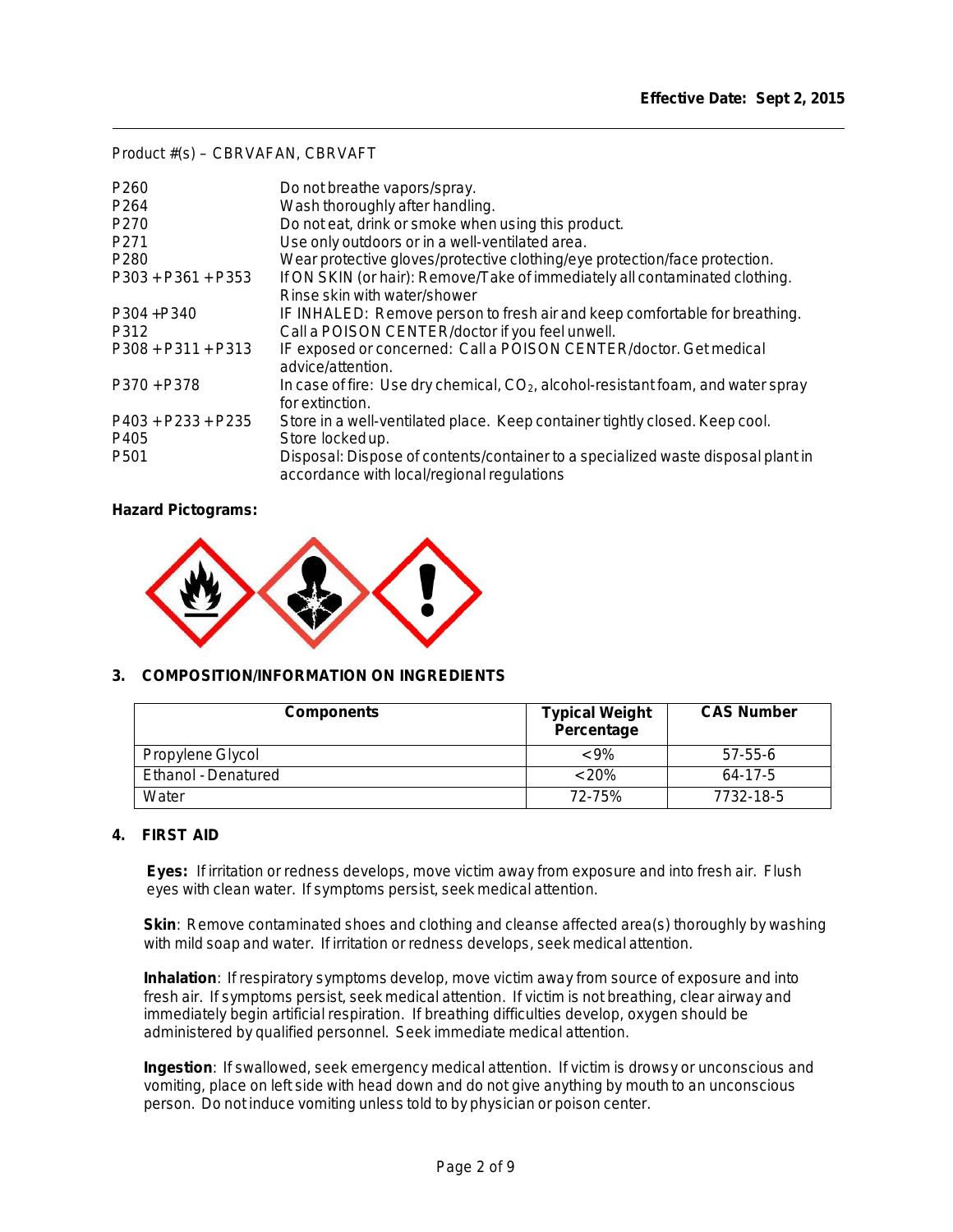l

| P <sub>260</sub>     | Do not breathe vapors/spray.                                                                                                   |
|----------------------|--------------------------------------------------------------------------------------------------------------------------------|
| P <sub>264</sub>     | Wash thoroughly after handling.                                                                                                |
| P <sub>270</sub>     | Do not eat, drink or smoke when using this product.                                                                            |
| P <sub>271</sub>     | Use only outdoors or in a well-ventilated area.                                                                                |
| P <sub>280</sub>     | Wear protective gloves/protective clothing/eye protection/face protection.                                                     |
| $P303 + P361 + P353$ | If ON SKIN (or hair): Remove/Take of immediately all contaminated clothing.<br>Rinse skin with water/shower                    |
| P304+P340<br>P312    | IF INHALED: Remove person to fresh air and keep comfortable for breathing.<br>Call a POISON CENTER/doctor if you feel unwell.  |
| $P308 + P311 + P313$ | IF exposed or concerned: Call a POISON CENTER/doctor. Get medical<br>advice/attention.                                         |
| P370 + P378          | In case of fire: Use dry chemical, $CO2$ , alcohol-resistant foam, and water spray<br>for extinction.                          |
| $P403 + P233 + P235$ | Store in a well-ventilated place. Keep container tightly closed. Keep cool.                                                    |
| P405                 | Store locked up.                                                                                                               |
| P <sub>501</sub>     | Disposal: Dispose of contents/container to a specialized waste disposal plant in<br>accordance with local/regional regulations |

**Hazard Pictograms:** 



# **3. COMPOSITION/INFORMATION ON INGREDIENTS**

| <b>Components</b>   | <b>Typical Weight</b><br>Percentage | <b>CAS Number</b> |
|---------------------|-------------------------------------|-------------------|
| Propylene Glycol    | $< 9\%$                             | $57 - 55 - 6$     |
| Ethanol - Denatured | < 20%                               | 64-17-5           |
| Water               | 72-75%                              | 7732-18-5         |

# **4. FIRST AID**

**Eyes:** If irritation or redness develops, move victim away from exposure and into fresh air. Flush eyes with clean water. If symptoms persist, seek medical attention.

**Skin:** Remove contaminated shoes and clothing and cleanse affected area(s) thoroughly by washing with mild soap and water. If irritation or redness develops, seek medical attention.

**Inhalation**: If respiratory symptoms develop, move victim away from source of exposure and into fresh air. If symptoms persist, seek medical attention. If victim is not breathing, clear airway and immediately begin artificial respiration. If breathing difficulties develop, oxygen should be administered by qualified personnel. Seek immediate medical attention.

**Ingestion**: If swallowed, seek emergency medical attention. If victim is drowsy or unconscious and vomiting, place on left side with head down and do not give anything by mouth to an unconscious person. Do not induce vomiting unless told to by physician or poison center.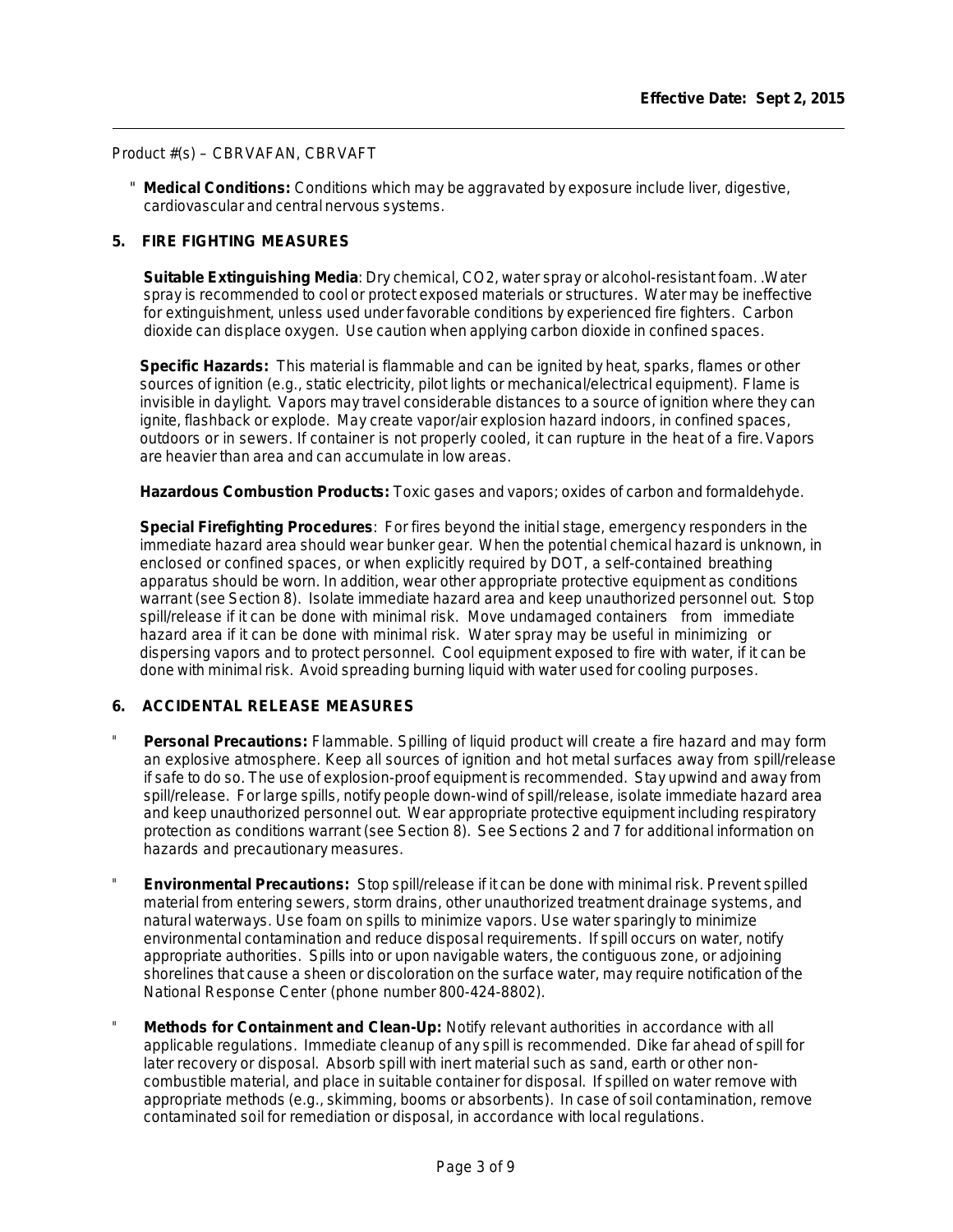" **Medical Conditions:** Conditions which may be aggravated by exposure include liver, digestive, cardiovascular and central nervous systems.

### **5. FIRE FIGHTING MEASURES**

**Suitable Extinguishing Media**: Dry chemical, CO2, water spray or alcohol-resistant foam. .Water spray is recommended to cool or protect exposed materials or structures. Water may be ineffective for extinguishment, unless used under favorable conditions by experienced fire fighters. Carbon dioxide can displace oxygen. Use caution when applying carbon dioxide in confined spaces.

**Specific Hazards:** This material is flammable and can be ignited by heat, sparks, flames or other sources of ignition (e.g., static electricity, pilot lights or mechanical/electrical equipment). Flame is invisible in daylight. Vapors may travel considerable distances to a source of ignition where they can ignite, flashback or explode. May create vapor/air explosion hazard indoors, in confined spaces, outdoors or in sewers. If container is not properly cooled, it can rupture in the heat of a fire. Vapors are heavier than area and can accumulate in low areas.

**Hazardous Combustion Products:** Toxic gases and vapors; oxides of carbon and formaldehyde.

**Special Firefighting Procedures**: For fires beyond the initial stage, emergency responders in the immediate hazard area should wear bunker gear. When the potential chemical hazard is unknown, in enclosed or confined spaces, or when explicitly required by DOT, a self-contained breathing apparatus should be worn. In addition, wear other appropriate protective equipment as conditions warrant (see Section 8). Isolate immediate hazard area and keep unauthorized personnel out. Stop spill/release if it can be done with minimal risk. Move undamaged containers from immediate hazard area if it can be done with minimal risk. Water spray may be useful in minimizing or dispersing vapors and to protect personnel. Cool equipment exposed to fire with water, if it can be done with minimal risk. Avoid spreading burning liquid with water used for cooling purposes.

### **6. ACCIDENTAL RELEASE MEASURES**

- **Personal Precautions:** Flammable. Spilling of liquid product will create a fire hazard and may form an explosive atmosphere. Keep all sources of ignition and hot metal surfaces away from spill/release if safe to do so. The use of explosion-proof equipment is recommended. Stay upwind and away from spill/release. For large spills, notify people down-wind of spill/release, isolate immediate hazard area and keep unauthorized personnel out. Wear appropriate protective equipment including respiratory protection as conditions warrant (see Section 8). See Sections 2 and 7 for additional information on hazards and precautionary measures.
- " **Environmental Precautions:** Stop spill/release if it can be done with minimal risk. Prevent spilled material from entering sewers, storm drains, other unauthorized treatment drainage systems, and natural waterways. Use foam on spills to minimize vapors. Use water sparingly to minimize environmental contamination and reduce disposal requirements. If spill occurs on water, notify appropriate authorities. Spills into or upon navigable waters, the contiguous zone, or adjoining shorelines that cause a sheen or discoloration on the surface water, may require notification of the National Response Center (phone number 800-424-8802).
- **Methods for Containment and Clean-Up: Notify relevant authorities in accordance with all** applicable regulations. Immediate cleanup of any spill is recommended. Dike far ahead of spill for later recovery or disposal. Absorb spill with inert material such as sand, earth or other noncombustible material, and place in suitable container for disposal. If spilled on water remove with appropriate methods (e.g., skimming, booms or absorbents). In case of soil contamination, remove contaminated soil for remediation or disposal, in accordance with local regulations.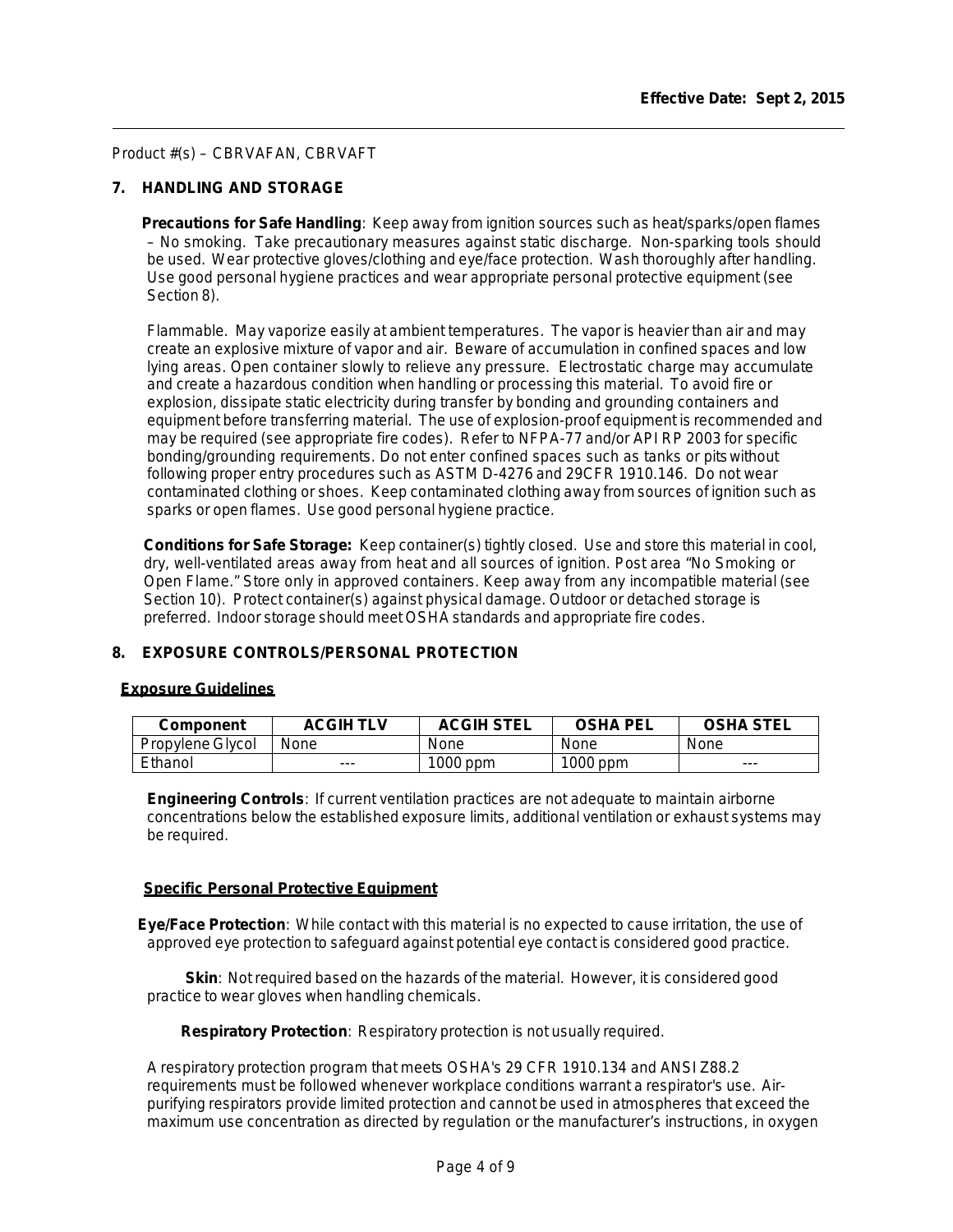# **7. HANDLING AND STORAGE**

**Precautions for Safe Handling**: Keep away from ignition sources such as heat/sparks/open flames – No smoking. Take precautionary measures against static discharge. Non-sparking tools should be used. Wear protective gloves/clothing and eye/face protection. Wash thoroughly after handling. Use good personal hygiene practices and wear appropriate personal protective equipment (see Section 8).

Flammable. May vaporize easily at ambient temperatures. The vapor is heavier than air and may create an explosive mixture of vapor and air. Beware of accumulation in confined spaces and low lying areas. Open container slowly to relieve any pressure. Electrostatic charge may accumulate and create a hazardous condition when handling or processing this material. To avoid fire or explosion, dissipate static electricity during transfer by bonding and grounding containers and equipment before transferring material. The use of explosion-proof equipment is recommended and may be required (see appropriate fire codes). Refer to NFPA-77 and/or API RP 2003 for specific bonding/grounding requirements. Do not enter confined spaces such as tanks or pitswithout following proper entry procedures such as ASTM D-4276 and 29CFR 1910.146. Do not wear contaminated clothing or shoes. Keep contaminated clothing away from sources of ignition such as sparks or open flames. Use good personal hygiene practice.

**Conditions for Safe Storage:** Keep container(s) tightly closed. Use and store this material in cool, dry, well-ventilated areas away from heat and all sources of ignition. Post area "No Smoking or Open Flame." Store only in approved containers. Keep away from any incompatible material (see Section 10). Protect container(s) against physical damage. Outdoor or detached storage is preferred. Indoor storage should meet OSHA standards and appropriate fire codes.

### **8. EXPOSURE CONTROLS/PERSONAL PROTECTION**

### **Exposure Guidelines**

| Component        | ACGIH TLV | <b>ACGIH STEL</b> | <b>OSHA PEL</b> | <b>OSHA STEL</b> |
|------------------|-----------|-------------------|-----------------|------------------|
| Propylene Glycol | None      | None              | None            | None             |
| Ethanol          | ---       | 1000 ppm          | 1000 ppm        | ---              |

**Engineering Controls**: If current ventilation practices are not adequate to maintain airborne concentrations below the established exposure limits, additional ventilation or exhaust systems may be required.

#### **Specific Personal Protective Equipment**

**Eye/Face Protection**: While contact with this material is no expected to cause irritation, the use of approved eye protection to safeguard against potential eye contact is considered good practice.

**Skin**: Not required based on the hazards of the material. However, it is considered good practice to wear gloves when handling chemicals.

 **Respiratory Protection**: Respiratory protection is not usually required.

A respiratory protection program that meets OSHA's 29 CFR 1910.134 and ANSI Z88.2 requirements must be followed whenever workplace conditions warrant a respirator's use. Airpurifying respirators provide limited protection and cannot be used in atmospheres that exceed the maximum use concentration as directed by regulation or the manufacturer's instructions, in oxygen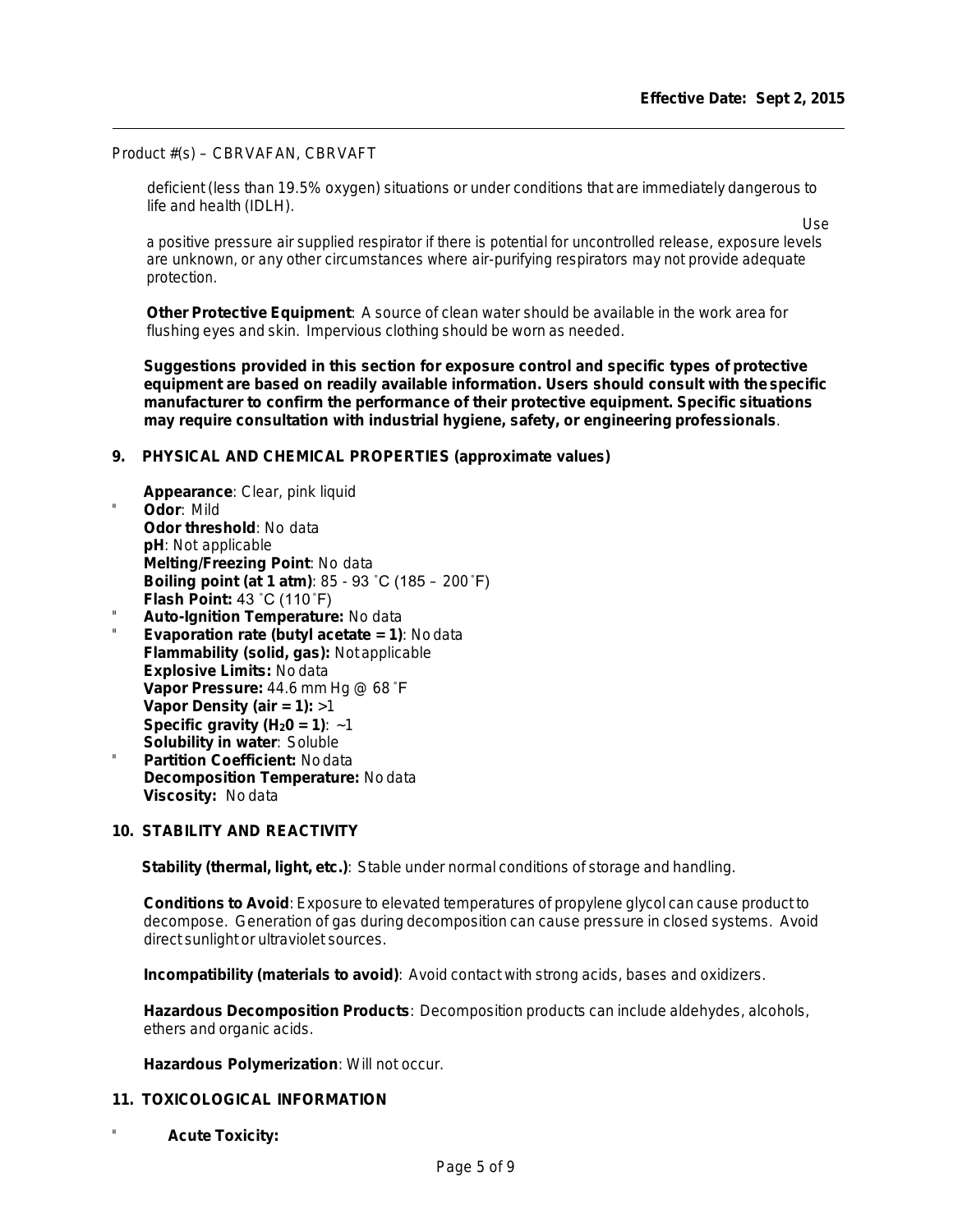deficient (less than 19.5% oxygen) situations or under conditions that are immediately dangerous to life and health (IDLH).

Use

a positive pressure air supplied respirator if there is potential for uncontrolled release, exposure levels are unknown, or any other circumstances where air-purifying respirators may not provide adequate protection.

**Other Protective Equipment**: A source of clean water should be available in the work area for flushing eyes and skin. Impervious clothing should be worn as needed.

**Suggestions provided in this section for exposure control and specific types of protective equipment are based on readily available information. Users should consult with the specific manufacturer to confirm the performance of their protective equipment. Specific situations may require consultation with industrial hygiene, safety, or engineering professionals**.

### **9. PHYSICAL AND CHEMICAL PROPERTIES (approximate values)**

- **Appearance**: Clear, pink liquid Odor: Mild **Odor threshold**: No data **pH**: Not applicable **Melting/Freezing Point**: No data **Boiling point (at 1 atm)**: 85 - 93 ˚C (185 – 200˚F) **Flash Point:** 43 ˚C (110˚F)
- " **Auto-Ignition Temperature:** No data
- **Evaporation rate (butyl acetate = 1): No data Flammability (solid, gas):** Not applicable **Explosive Limits:** No data **Vapor Pressure:** 44.6 mm Hg @ 68 ˚F **Vapor Density (air = 1):** >1 **Specific gravity (H<sub>2</sub>0 = 1):**  $~1$ **Solubility in water**: Soluble
- **Partition Coefficient: Nodata Decomposition Temperature:** No data **Viscosity:** No data

# **10. STABILITY AND REACTIVITY**

**Stability (thermal, light, etc.)**: Stable under normal conditions of storage and handling.

**Conditions to Avoid**: Exposure to elevated temperatures of propylene glycol can cause product to decompose. Generation of gas during decomposition can cause pressure in closed systems. Avoid direct sunlight or ultraviolet sources.

**Incompatibility (materials to avoid)**: Avoid contact with strong acids, bases and oxidizers.

**Hazardous Decomposition Products**: Decomposition products can include aldehydes, alcohols, ethers and organic acids.

**Hazardous Polymerization**: Will not occur.

### **11. TOXICOLOGICAL INFORMATION**

" **Acute Toxicity:**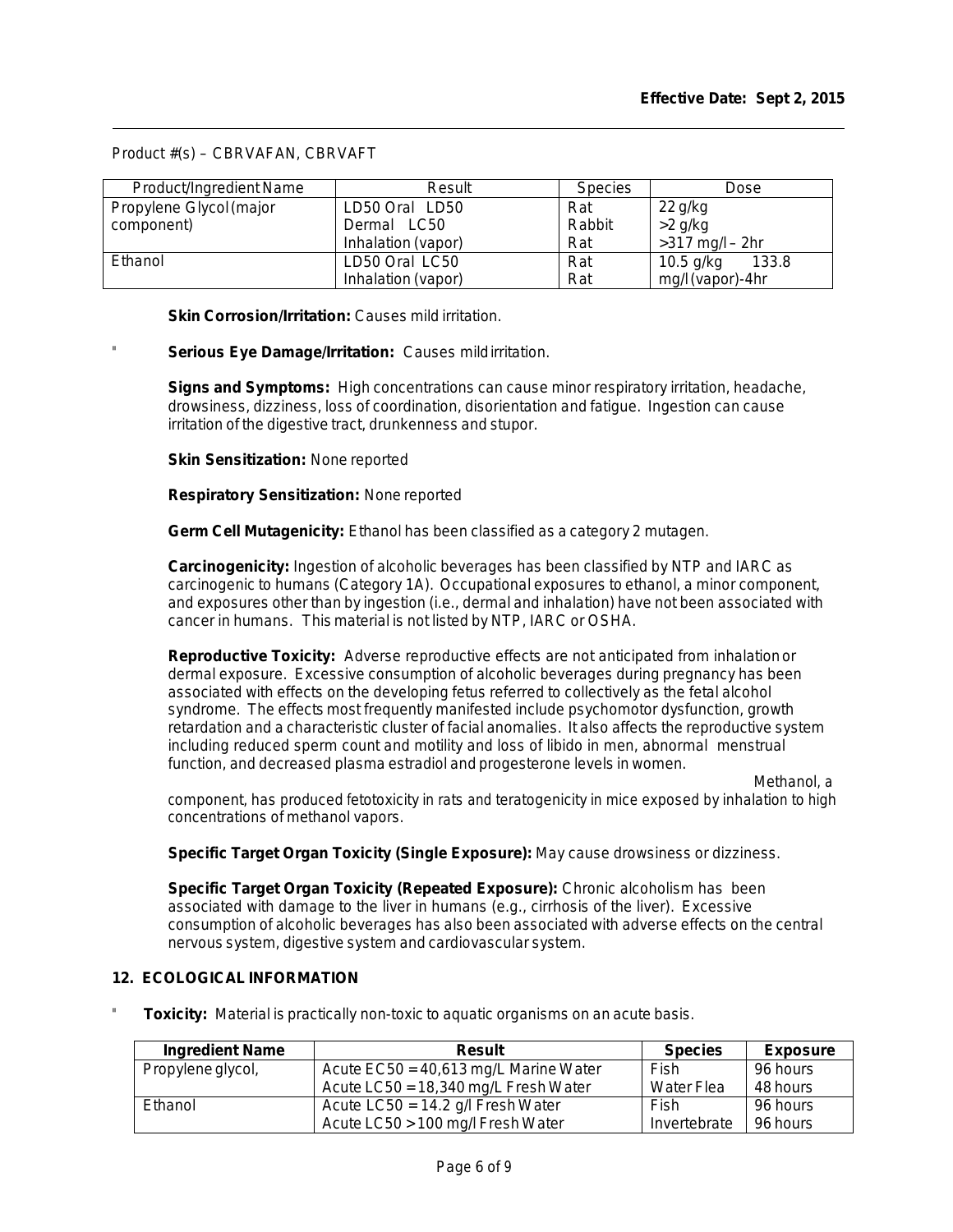| Product/Ingredient Name | Result             | <b>Species</b> | Dose                 |
|-------------------------|--------------------|----------------|----------------------|
| Propylene Glycol (major | LD50 Oral LD50     | Rat            | $22$ g/kg            |
| component)              | Dermal LC50        | Rabbit         | $>2$ g/kg            |
|                         | Inhalation (vapor) | Rat            | $>317$ mg/l $-$ 2hr  |
| Ethanol                 | LD50 Oral LC50     | Rat            | 133.8<br>$10.5$ g/kg |
|                         | Inhalation (vapor) | Rat            | mg/l (vapor)-4hr     |

**Skin Corrosion/Irritation:** Causes mild irritation.

# Serious Eye Damage/Irritation: Causes mildirritation.

**Signs and Symptoms:** High concentrations can cause minor respiratory irritation, headache, drowsiness, dizziness, loss of coordination, disorientation and fatigue. Ingestion can cause irritation of the digestive tract, drunkenness and stupor.

**Skin Sensitization:** None reported

**Respiratory Sensitization:** None reported

**Germ Cell Mutagenicity:** Ethanol has been classified as a category 2 mutagen.

**Carcinogenicity:** Ingestion of alcoholic beverages has been classified by NTP and IARC as carcinogenic to humans (Category 1A). Occupational exposures to ethanol, a minor component, and exposures other than by ingestion (i.e., dermal and inhalation) have not been associated with cancer in humans. This material is not listed by NTP, IARC or OSHA.

**Reproductive Toxicity:** Adverse reproductive effects are not anticipated from inhalationor dermal exposure. Excessive consumption of alcoholic beverages during pregnancy has been associated with effects on the developing fetus referred to collectively as the fetal alcohol syndrome. The effects most frequently manifested include psychomotor dysfunction, growth retardation and a characteristic cluster of facial anomalies. It also affects the reproductive system including reduced sperm count and motility and loss of libido in men, abnormal menstrual function, and decreased plasma estradiol and progesterone levels in women.

Methanol, a

component, has produced fetotoxicity in rats and teratogenicity in mice exposed by inhalation to high concentrations of methanol vapors.

**Specific Target Organ Toxicity (Single Exposure):** May cause drowsiness or dizziness.

**Specific Target Organ Toxicity (Repeated Exposure):** Chronic alcoholism has been associated with damage to the liver in humans (e.g., cirrhosis of the liver). Excessive consumption of alcoholic beverages has also been associated with adverse effects on the central nervous system, digestive system and cardiovascular system.

### **12. ECOLOGICAL INFORMATION**

**Toxicity:** Material is practically non-toxic to aquatic organisms on an acute basis.

| <b>Ingredient Name</b> | Result                                  | <b>Species</b> | <b>Exposure</b> |
|------------------------|-----------------------------------------|----------------|-----------------|
| Propylene glycol,      | Acute $EC50 = 40,613$ mg/L Marine Water | Fish           | 96 hours        |
|                        | Acute $LC50 = 18,340$ mg/L Fresh Water  | Water Flea     | 48 hours        |
| Ethanol                | Acute LC50 = $14.2$ g/l Fresh Water     | Fish           | 96 hours        |
|                        | Acute LC50 > 100 mg/l Fresh Water       | Invertebrate   | 96 hours        |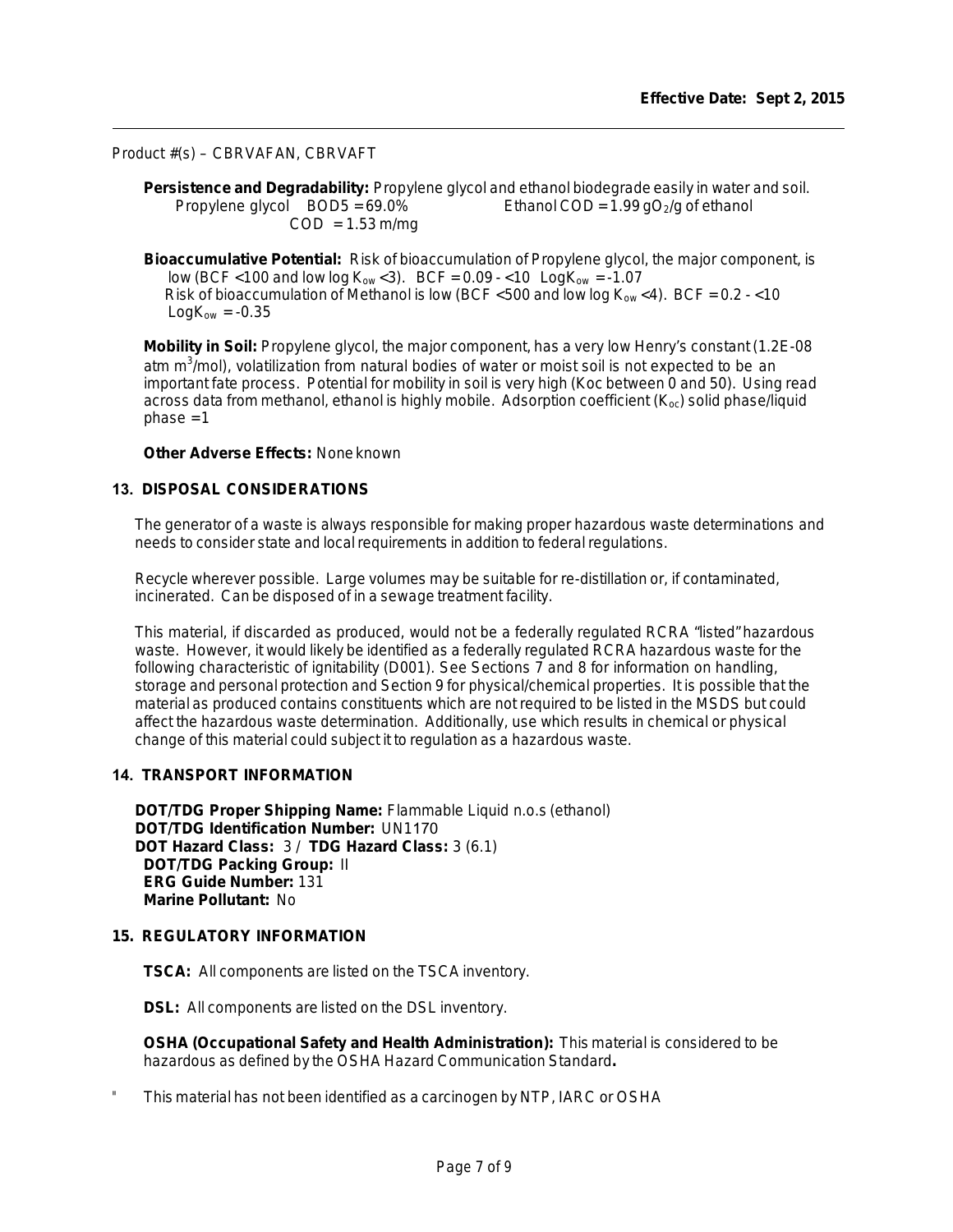**Persistence and Degradability:** Propylene glycol and ethanol biodegrade easily in water and soil. Propylene glycol  $BOD5 = 69.0\%$  Ethanol  $COD = 1.99 gO<sub>2</sub>/g$  of ethanol  $COD = 1.53 m/mg$ 

**Bioaccumulative Potential:** Risk of bioaccumulation of Propylene glycol, the major component, is low (BCF <100 and low log  $K_{ow}$  <3). BCF =  $0.09 - 10$  Log $K_{ow} = -1.07$ Risk of bioaccumulation of Methanol is low (BCF <500 and low log  $K_{ow}$  <4). BCF = 0.2 - <10  $LogK_{ow} = -0.35$ 

**Mobility in Soil:** Propylene glycol, the major component, has a very low Henry's constant (1.2E-08 atm m $3/$ mol), volatilization from natural bodies of water or moist soil is not expected to be an important fate process. Potential for mobility in soil is very high (Koc between 0 and 50). Using read across data from methanol, ethanol is highly mobile. Adsorption coefficient  $(K_{oc})$  solid phase/liquid  $phase = 1$ 

# **Other Adverse Effects:** None known

### **13. DISPOSAL CONSIDERATIONS**

The generator of a waste is always responsible for making proper hazardous waste determinations and needs to consider state and local requirements in addition to federal regulations.

Recycle wherever possible. Large volumes may be suitable for re-distillation or, if contaminated, incinerated. Can be disposed of in a sewage treatment facility.

This material, if discarded as produced, would not be a federally regulated RCRA "listed" hazardous waste. However, it would likely be identified as a federally regulated RCRA hazardous waste for the following characteristic of ignitability (D001). See Sections 7 and 8 for information on handling, storage and personal protection and Section 9 for physical/chemical properties. It is possible that the material as produced contains constituents which are not required to be listed in the MSDS but could affect the hazardous waste determination. Additionally, use which results in chemical or physical change of this material could subject it to regulation as a hazardous waste.

### **14. TRANSPORT INFORMATION**

**DOT/TDG Proper Shipping Name:** Flammable Liquid n.o.s (ethanol) **DOT/TDG Identification Number:** UN1170 **DOT Hazard Class:** 3 / **TDG Hazard Class:** 3 (6.1) **DOT/TDG Packing Group:** II **ERG Guide Number:** 131 **Marine Pollutant:** No

#### **15. REGULATORY INFORMATION**

**TSCA:** All components are listed on the TSCA inventory.

**DSL:** All components are listed on the DSL inventory.

**OSHA (Occupational Safety and Health Administration):** This material is considered to be hazardous as defined by the OSHA Hazard Communication Standard**.**

This material has not been identified as a carcinogen by NTP, IARC or OSHA